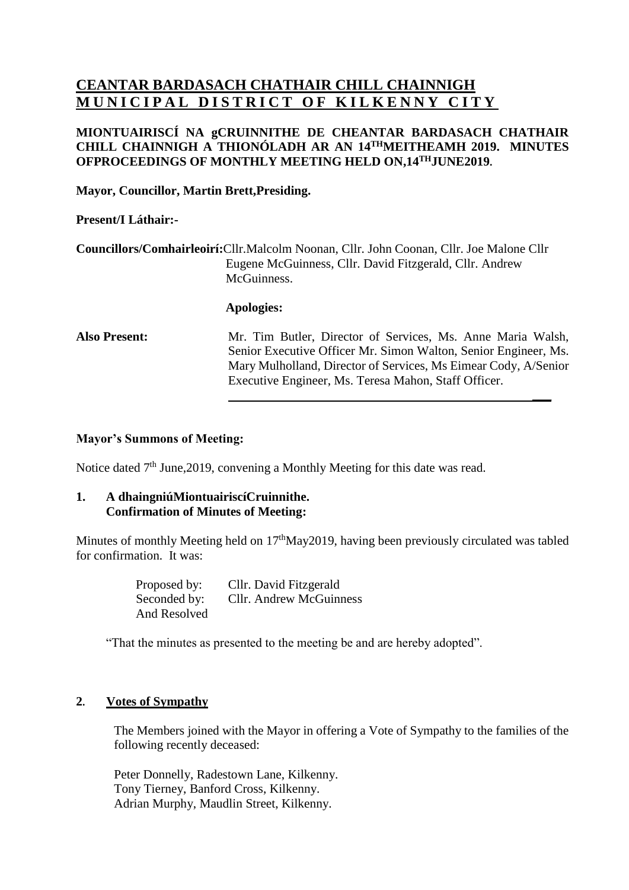# **CEANTAR BARDASACH CHATHAIR CHILL CHAINNIGH MUNICIPAL DISTRICT OF KILKENNY CITY**

## **MIONTUAIRISCÍ NA gCRUINNITHE DE CHEANTAR BARDASACH CHATHAIR CHILL CHAINNIGH A THIONÓLADH AR AN 14 THMEITHEAMH 2019. MINUTES OFPROCEEDINGS OF MONTHLY MEETING HELD ON,14 THJUNE2019.**

## **Mayor, Councillor, Martin Brett,Presiding.**

## **Present/I Láthair:-**

**Councillors/Comhairleoirí:**Cllr.Malcolm Noonan, Cllr. John Coonan, Cllr. Joe Malone Cllr Eugene McGuinness, Cllr. David Fitzgerald, Cllr. Andrew McGuinness.

#### **Apologies:**

**Also Present:** Mr. Tim Butler, Director of Services, Ms. Anne Maria Walsh, Senior Executive Officer Mr. Simon Walton, Senior Engineer, Ms. Mary Mulholland, Director of Services, Ms Eimear Cody, A/Senior Executive Engineer, Ms. Teresa Mahon, Staff Officer.

**\_\_\_**

#### **Mayor's Summons of Meeting:**

Notice dated 7<sup>th</sup> June, 2019, convening a Monthly Meeting for this date was read.

#### **1. A dhaingniúMiontuairiscíCruinnithe. Confirmation of Minutes of Meeting:**

Minutes of monthly Meeting held on 17<sup>th</sup>May2019, having been previously circulated was tabled for confirmation. It was:

> Proposed by: Cllr. David Fitzgerald Seconded by: Cllr. Andrew McGuinness And Resolved

"That the minutes as presented to the meeting be and are hereby adopted".

### **2. Votes of Sympathy**

The Members joined with the Mayor in offering a Vote of Sympathy to the families of the following recently deceased:

Peter Donnelly, Radestown Lane, Kilkenny. Tony Tierney, Banford Cross, Kilkenny. Adrian Murphy, Maudlin Street, Kilkenny.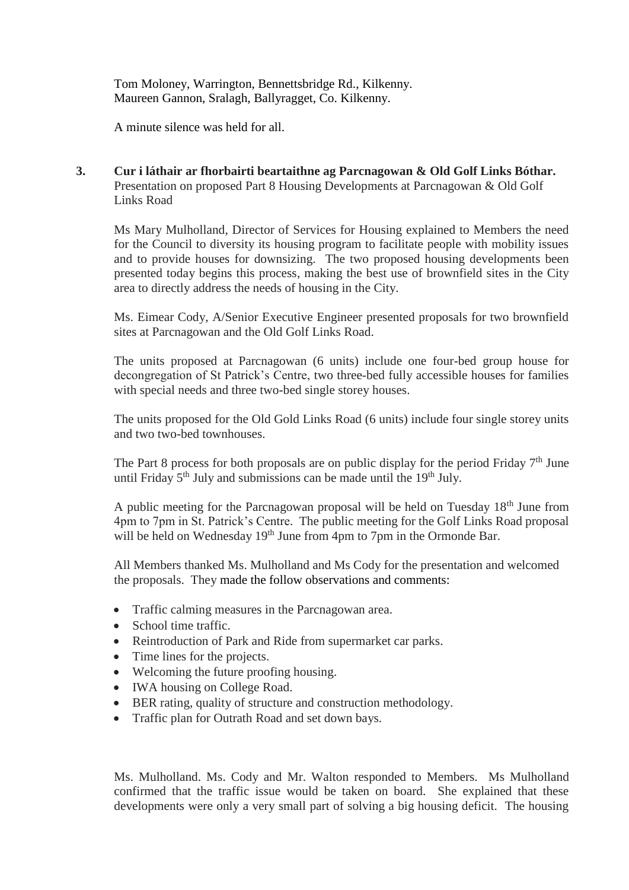Tom Moloney, Warrington, Bennettsbridge Rd., Kilkenny. Maureen Gannon, Sralagh, Ballyragget, Co. Kilkenny.

A minute silence was held for all.

**3. Cur i láthair ar fhorbairti beartaithne ag Parcnagowan & Old Golf Links Bóthar.** Presentation on proposed Part 8 Housing Developments at Parcnagowan & Old Golf Links Road

Ms Mary Mulholland, Director of Services for Housing explained to Members the need for the Council to diversity its housing program to facilitate people with mobility issues and to provide houses for downsizing. The two proposed housing developments been presented today begins this process, making the best use of brownfield sites in the City area to directly address the needs of housing in the City.

Ms. Eimear Cody, A/Senior Executive Engineer presented proposals for two brownfield sites at Parcnagowan and the Old Golf Links Road.

The units proposed at Parcnagowan (6 units) include one four-bed group house for decongregation of St Patrick's Centre, two three-bed fully accessible houses for families with special needs and three two-bed single storey houses.

The units proposed for the Old Gold Links Road (6 units) include four single storey units and two two-bed townhouses.

The Part 8 process for both proposals are on public display for the period Friday  $7<sup>th</sup>$  June until Friday  $5<sup>th</sup>$  July and submissions can be made until the  $19<sup>th</sup>$  July.

A public meeting for the Parcnagowan proposal will be held on Tuesday 18<sup>th</sup> June from 4pm to 7pm in St. Patrick's Centre. The public meeting for the Golf Links Road proposal will be held on Wednesday 19<sup>th</sup> June from 4pm to 7pm in the Ormonde Bar.

All Members thanked Ms. Mulholland and Ms Cody for the presentation and welcomed the proposals. They made the follow observations and comments:

- Traffic calming measures in the Parcnagowan area.
- School time traffic.
- Reintroduction of Park and Ride from supermarket car parks.
- Time lines for the projects.
- Welcoming the future proofing housing.
- IWA housing on College Road.
- BER rating, quality of structure and construction methodology.
- Traffic plan for Outrath Road and set down bays.

Ms. Mulholland. Ms. Cody and Mr. Walton responded to Members. Ms Mulholland confirmed that the traffic issue would be taken on board. She explained that these developments were only a very small part of solving a big housing deficit. The housing